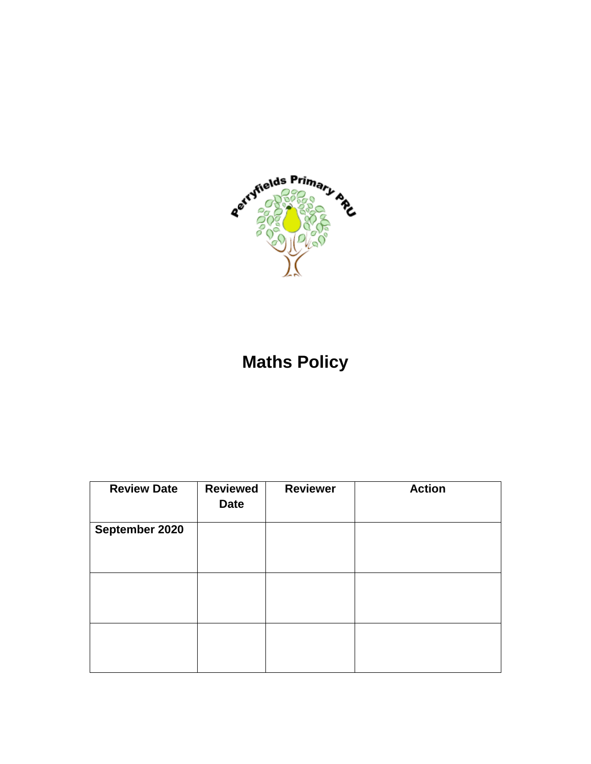

# **Maths Policy**

| <b>Review Date</b> | <b>Reviewed</b><br><b>Date</b> | <b>Reviewer</b> | <b>Action</b> |
|--------------------|--------------------------------|-----------------|---------------|
| September 2020     |                                |                 |               |
|                    |                                |                 |               |
|                    |                                |                 |               |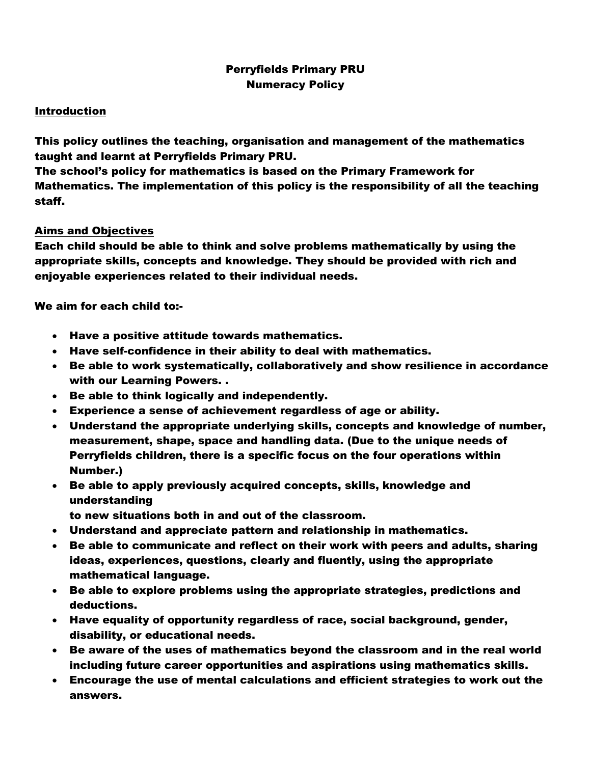# Perryfields Primary PRU Numeracy Policy

# Introduction

This policy outlines the teaching, organisation and management of the mathematics taught and learnt at Perryfields Primary PRU.

The school's policy for mathematics is based on the Primary Framework for Mathematics. The implementation of this policy is the responsibility of all the teaching staff.

## Aims and Objectives

Each child should be able to think and solve problems mathematically by using the appropriate skills, concepts and knowledge. They should be provided with rich and enjoyable experiences related to their individual needs.

We aim for each child to:-

- Have a positive attitude towards mathematics.
- Have self-confidence in their ability to deal with mathematics.
- Be able to work systematically, collaboratively and show resilience in accordance with our Learning Powers. .
- Be able to think logically and independently.
- Experience a sense of achievement regardless of age or ability.
- Understand the appropriate underlying skills, concepts and knowledge of number, measurement, shape, space and handling data. (Due to the unique needs of Perryfields children, there is a specific focus on the four operations within Number.)
- Be able to apply previously acquired concepts, skills, knowledge and understanding
	- to new situations both in and out of the classroom.
- Understand and appreciate pattern and relationship in mathematics.
- Be able to communicate and reflect on their work with peers and adults, sharing ideas, experiences, questions, clearly and fluently, using the appropriate mathematical language.
- Be able to explore problems using the appropriate strategies, predictions and deductions.
- Have equality of opportunity regardless of race, social background, gender, disability, or educational needs.
- Be aware of the uses of mathematics beyond the classroom and in the real world including future career opportunities and aspirations using mathematics skills.
- Encourage the use of mental calculations and efficient strategies to work out the answers.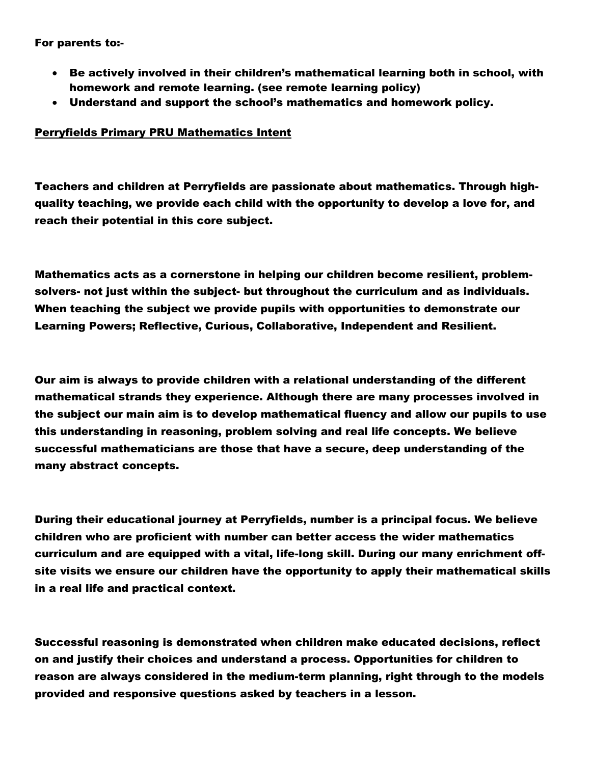For parents to:-

- Be actively involved in their children's mathematical learning both in school, with homework and remote learning. (see remote learning policy)
- Understand and support the school's mathematics and homework policy.

## Perryfields Primary PRU Mathematics Intent

Teachers and children at Perryfields are passionate about mathematics. Through highquality teaching, we provide each child with the opportunity to develop a love for, and reach their potential in this core subject.

Mathematics acts as a cornerstone in helping our children become resilient, problemsolvers- not just within the subject- but throughout the curriculum and as individuals. When teaching the subject we provide pupils with opportunities to demonstrate our Learning Powers; Reflective, Curious, Collaborative, Independent and Resilient.

Our aim is always to provide children with a relational understanding of the different mathematical strands they experience. Although there are many processes involved in the subject our main aim is to develop mathematical fluency and allow our pupils to use this understanding in reasoning, problem solving and real life concepts. We believe successful mathematicians are those that have a secure, deep understanding of the many abstract concepts.

During their educational journey at Perryfields, number is a principal focus. We believe children who are proficient with number can better access the wider mathematics curriculum and are equipped with a vital, life-long skill. During our many enrichment offsite visits we ensure our children have the opportunity to apply their mathematical skills in a real life and practical context.

Successful reasoning is demonstrated when children make educated decisions, reflect on and justify their choices and understand a process. Opportunities for children to reason are always considered in the medium-term planning, right through to the models provided and responsive questions asked by teachers in a lesson.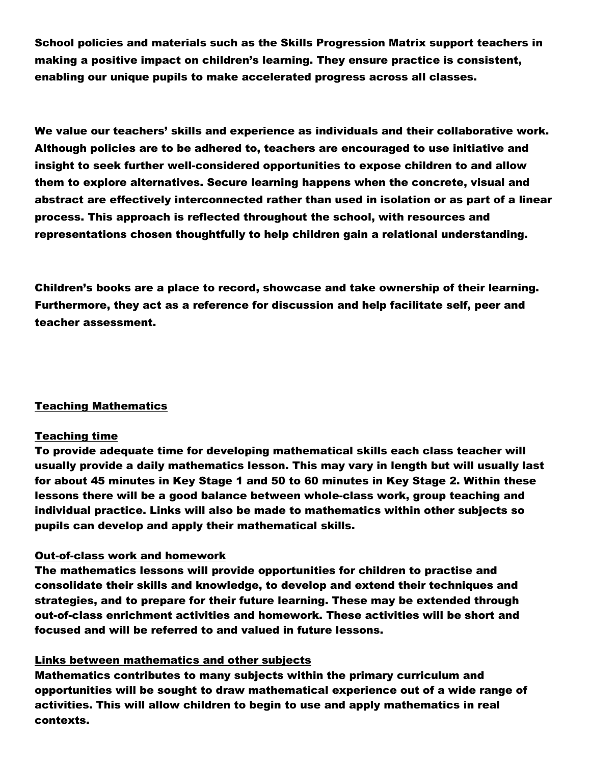School policies and materials such as the Skills Progression Matrix support teachers in making a positive impact on children's learning. They ensure practice is consistent, enabling our unique pupils to make accelerated progress across all classes.

We value our teachers' skills and experience as individuals and their collaborative work. Although policies are to be adhered to, teachers are encouraged to use initiative and insight to seek further well-considered opportunities to expose children to and allow them to explore alternatives. Secure learning happens when the concrete, visual and abstract are effectively interconnected rather than used in isolation or as part of a linear process. This approach is reflected throughout the school, with resources and representations chosen thoughtfully to help children gain a relational understanding.

Children's books are a place to record, showcase and take ownership of their learning. Furthermore, they act as a reference for discussion and help facilitate self, peer and teacher assessment.

### Teaching Mathematics

#### Teaching time

To provide adequate time for developing mathematical skills each class teacher will usually provide a daily mathematics lesson. This may vary in length but will usually last for about 45 minutes in Key Stage 1 and 50 to 60 minutes in Key Stage 2. Within these lessons there will be a good balance between whole-class work, group teaching and individual practice. Links will also be made to mathematics within other subjects so pupils can develop and apply their mathematical skills.

#### Out-of-class work and homework

The mathematics lessons will provide opportunities for children to practise and consolidate their skills and knowledge, to develop and extend their techniques and strategies, and to prepare for their future learning. These may be extended through out-of-class enrichment activities and homework. These activities will be short and focused and will be referred to and valued in future lessons.

#### Links between mathematics and other subjects

Mathematics contributes to many subjects within the primary curriculum and opportunities will be sought to draw mathematical experience out of a wide range of activities. This will allow children to begin to use and apply mathematics in real contexts.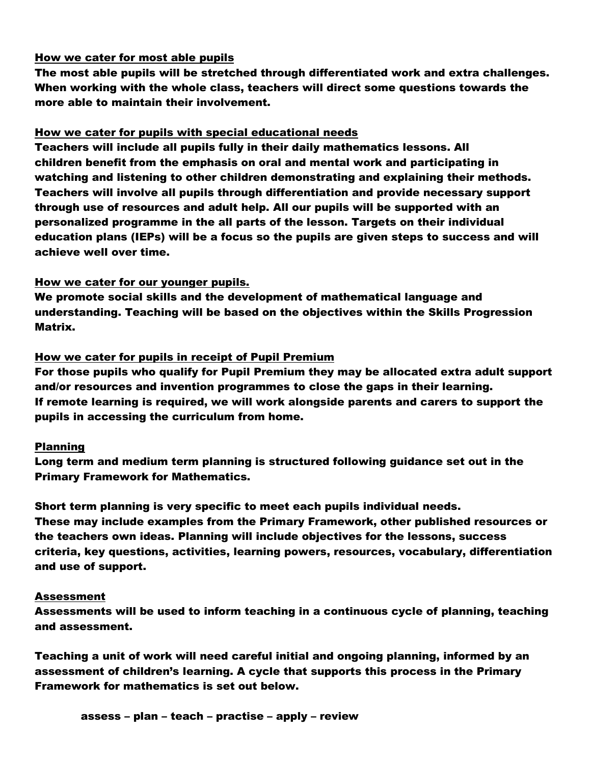# How we cater for most able pupils

The most able pupils will be stretched through differentiated work and extra challenges. When working with the whole class, teachers will direct some questions towards the more able to maintain their involvement.

# How we cater for pupils with special educational needs

Teachers will include all pupils fully in their daily mathematics lessons. All children benefit from the emphasis on oral and mental work and participating in watching and listening to other children demonstrating and explaining their methods. Teachers will involve all pupils through differentiation and provide necessary support through use of resources and adult help. All our pupils will be supported with an personalized programme in the all parts of the lesson. Targets on their individual education plans (IEPs) will be a focus so the pupils are given steps to success and will achieve well over time.

# How we cater for our younger pupils.

We promote social skills and the development of mathematical language and understanding. Teaching will be based on the objectives within the Skills Progression Matrix.

# How we cater for pupils in receipt of Pupil Premium

For those pupils who qualify for Pupil Premium they may be allocated extra adult support and/or resources and invention programmes to close the gaps in their learning. If remote learning is required, we will work alongside parents and carers to support the pupils in accessing the curriculum from home.

## Planning

Long term and medium term planning is structured following guidance set out in the Primary Framework for Mathematics.

Short term planning is very specific to meet each pupils individual needs. These may include examples from the Primary Framework, other published resources or the teachers own ideas. Planning will include objectives for the lessons, success criteria, key questions, activities, learning powers, resources, vocabulary, differentiation and use of support.

## Assessment

Assessments will be used to inform teaching in a continuous cycle of planning, teaching and assessment.

Teaching a unit of work will need careful initial and ongoing planning, informed by an assessment of children's learning. A cycle that supports this process in the Primary Framework for mathematics is set out below.